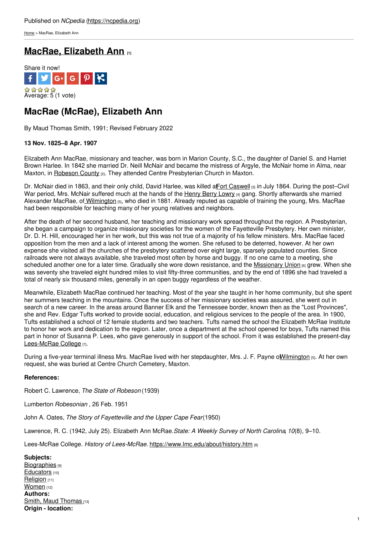[Home](https://ncpedia.org/) > MacRae, Elizabeth Ann

## **MacRae, [Elizabeth](https://ncpedia.org/biography/macrae-elizabeth) Ann [1]**



# **MacRae (McRae), Elizabeth Ann**

By Maud Thomas Smith, 1991; Revised February 2022

### **13 Nov. 1825–8 Apr. 1907**

Elizabeth Ann MacRae, missionary and teacher, was born in Marion County, S.C., the daughter of Daniel S. and Harriet Brown Harlee. In 1842 she married Dr. Neill McNair and became the mistress of Argyle, the McNair home in Alma, near Maxton, in [Robeson](https://ncpedia.org/geography/robeson) County [2]. They [attended](http://www.social9.com) Centre Presbyterian Church in Maxton.

Dr. McNair died in 1863, and their only child, David Harlee, was killed affort [Caswell](https://ncpedia.org/fort-caswell) [3] in July 1864. During the post–Civil War period, Mrs. McNair suffered much at the hands of the [Henry](https://ncpedia.org/biography/lowry-henry) Berry Lowry [4] gang. Shortly afterwards she married Alexander MacRae, of [Wilmington](https://ncpedia.org/geography/wilmington) [5], who died in 1881. Already reputed as capable of training the young, Mrs. MacRae had been responsible for teaching many of her young relatives and neighbors.

After the death of her second husband, her teaching and missionary work spread throughout the region. A Presbyterian, she began a campaign to organize missionary societies for the women of the Fayetteville Presbytery. Her own minister, Dr. D. H. Hill, encouraged her in her work, but this was not true of a majority of his fellow ministers. Mrs. MacRae faced opposition from the men and a lack of interest among the women. She refused to be deterred, however. At her own expense she visited all the churches of the presbytery scattered over eight large, sparsely populated counties. Since railroads were not always available, she traveled most often by horse and buggy. If no one came to a meeting, she scheduled another one for a later time. Gradually she wore down resistance, and the [Missionary](http://www.wmu.com/) Union [6] grew. When she was seventy she traveled eight hundred miles to visit fifty-three communities, and by the end of 1896 she had traveled a total of nearly six thousand miles, generally in an open buggy regardless of the weather.

Meanwhile, Elizabeth MacRae continued her teaching. Most of the year she taught in her home community, but she spent her summers teaching in the mountains. Once the success of her missionary societies was assured, she went out in search of a new career. In the areas around Banner Elk and the Tennessee border, known then as the "Lost Provinces", she and Rev. Edgar Tufts worked to provide social, education, and religious services to the people of the area. In 1900, Tufts established a school of 12 female students and two teachers. Tufts named the school the Elizabeth McRae Institute to honor her work and dedication to the region. Later, once a department at the school opened for boys, Tufts named this part in honor of Susanna P. Lees, who gave generously in support of the school. From it was established the present-day [Lees-McRae](http://www.lmc.edu/) College [7].

During a five-year terminal illness Mrs. MacRae lived with her stepdaughter, Mrs. J. F. Payne of Wilmington [5]. At her own request, she was buried at Centre Church Cemetery, Maxton.

#### **References:**

Robert C. Lawrence, *The State of Robeson* (1939)

Lumberton *Robesonian* , 26 Feb. 1951

John A. Oates, *The Story of Fayetteville and the Upper Cape Fear*(1950)

Lawrence, R. C. (1942, July 25). Elizabeth Ann McRae.*State: A Weekly Survey of North Carolina*, *10*(8), 9–10.

Lees-McRae College. *History of Lees-McRae.* <https://www.lmc.edu/about/history.htm> [8]

**Subjects: [Biographies](https://ncpedia.org/category/subjects/biography-term)** [9] [Educators](https://ncpedia.org/category/subjects/educators) [10] [Religion](https://ncpedia.org/category/subjects/religion) [11] [Women](https://ncpedia.org/category/subjects/women) [12] **Authors:** Smith, Maud [Thomas](https://ncpedia.org/category/authors/smith-maud-thomas) [13] **Origin - location:**